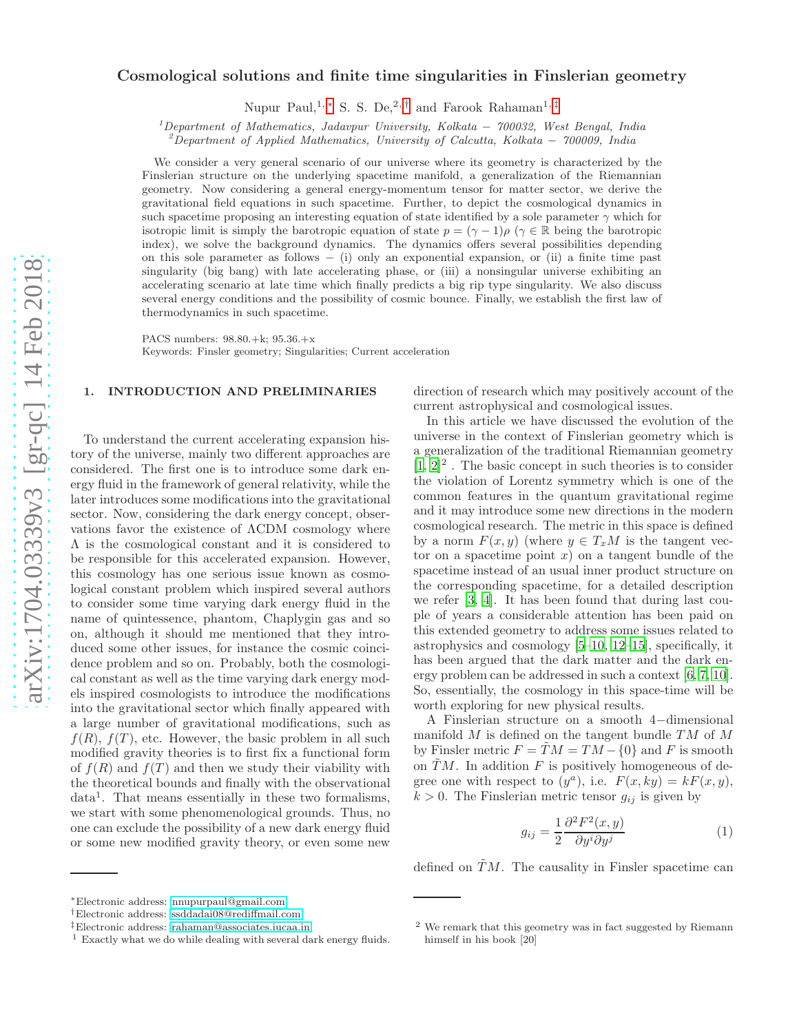# Cosmological solutions and finite time singularities in Finslerian geometry

Nupur Paul,<sup>1, \*</sup> S. S. De,<sup>2,[†](#page-0-1)</sup> and Farook Rahaman<sup>1,[‡](#page-0-2)</sup>

 $1$ Department of Mathematics, Jadavpur University, Kolkata – 700032, West Bengal, India

<sup>2</sup>Department of Applied Mathematics, University of Calcutta, Kolkata – 700009, India

We consider a very general scenario of our universe where its geometry is characterized by the Finslerian structure on the underlying spacetime manifold, a generalization of the Riemannian geometry. Now considering a general energy-momentum tensor for matter sector, we derive the gravitational field equations in such spacetime. Further, to depict the cosmological dynamics in such spacetime proposing an interesting equation of state identified by a sole parameter  $\gamma$  which for isotropic limit is simply the barotropic equation of state  $p = (\gamma - 1)\rho$  ( $\gamma \in \mathbb{R}$  being the barotropic index), we solve the background dynamics. The dynamics offers several possibilities depending on this sole parameter as follows − (i) only an exponential expansion, or (ii) a finite time past singularity (big bang) with late accelerating phase, or (iii) a nonsingular universe exhibiting an accelerating scenario at late time which finally predicts a big rip type singularity. We also discuss several energy conditions and the possibility of cosmic bounce. Finally, we establish the first law of thermodynamics in such spacetime.

PACS numbers: 98.80.+k; 95.36.+x Keywords: Finsler geometry; Singularities; Current acceleration

# 1. INTRODUCTION AND PRELIMINARIES

To understand the current accelerating expansion history of the universe, mainly two different approaches are considered. The first one is to introduce some dark energy fluid in the framework of general relativity, while the later introduces some modifications into the gravitational sector. Now, considering the dark energy concept, observations favor the existence of ΛCDM cosmology where Λ is the cosmological constant and it is considered to be responsible for this accelerated expansion. However, this cosmology has one serious issue known as cosmological constant problem which inspired several authors to consider some time varying dark energy fluid in the name of quintessence, phantom, Chaplygin gas and so on, although it should me mentioned that they introduced some other issues, for instance the cosmic coincidence problem and so on. Probably, both the cosmological constant as well as the time varying dark energy models inspired cosmologists to introduce the modifications into the gravitational sector which finally appeared with a large number of gravitational modifications, such as  $f(R)$ ,  $f(T)$ , etc. However, the basic problem in all such modified gravity theories is to first fix a functional form of  $f(R)$  and  $f(T)$  and then we study their viability with the theoretical bounds and finally with the observational data<sup>1</sup> . That means essentially in these two formalisms, we start with some phenomenological grounds. Thus, no one can exclude the possibility of a new dark energy fluid or some new modified gravity theory, or even some new

<span id="page-0-0"></span><sup>∗</sup>Electronic address: [nnupurpaul@gmail.com](mailto:nnupurpaul@gmail.com)

direction of research which may positively account of the current astrophysical and cosmological issues.

In this article we have discussed the evolution of the universe in the context of Finslerian geometry which is a generalization of the traditional Riemannian geometry  $[1, 2]^2$  $[1, 2]^2$  $[1, 2]^2$ . The basic concept in such theories is to consider the violation of Lorentz symmetry which is one of the common features in the quantum gravitational regime and it may introduce some new directions in the modern cosmological research. The metric in this space is defined by a norm  $F(x, y)$  (where  $y \in T_xM$  is the tangent vector on a spacetime point  $x$ ) on a tangent bundle of the spacetime instead of an usual inner product structure on the corresponding spacetime, for a detailed description we refer [\[3,](#page-7-2) [4](#page-7-3)]. It has been found that during last couple of years a considerable attention has been paid on this extended geometry to address some issues related to astrophysics and cosmology [\[5](#page-7-4)[–10](#page-7-5), [12](#page-8-0)[–15](#page-8-1)], specifically, it has been argued that the dark matter and the dark energy problem can be addressed in such a context [\[6](#page-7-6), [7,](#page-7-7) [10\]](#page-7-5). So, essentially, the cosmology in this space-time will be worth exploring for new physical results.

A Finslerian structure on a smooth 4−dimensional manifold  $M$  is defined on the tangent bundle  $TM$  of  $M$ by Finsler metric  $F = TM = TM - \{0\}$  and F is smooth on  $\tilde{T}M$ . In addition F is positively homogeneous of degree one with respect to  $(y^a)$ , i.e.  $F(x, ky) = kF(x, y)$ ,  $k > 0$ . The Finslerian metric tensor  $g_{ij}$  is given by

$$
g_{ij} = \frac{1}{2} \frac{\partial^2 F^2(x, y)}{\partial y^i \partial y^j}
$$
 (1)

defined on  $\tilde{T}M$ . The causality in Finsler spacetime can

<span id="page-0-1"></span><sup>†</sup>Electronic address: [ssddadai08@rediffmail.com](mailto:ssddadai08@rediffmail.com)

<span id="page-0-2"></span><sup>‡</sup>Electronic address: [rahaman@associates.iucaa.in](mailto:rahaman@associates.iucaa.in)

 $1$  Exactly what we do while dealing with several dark energy fluids.

<sup>2</sup> We remark that this geometry was in fact suggested by Riemann himself in his book [20]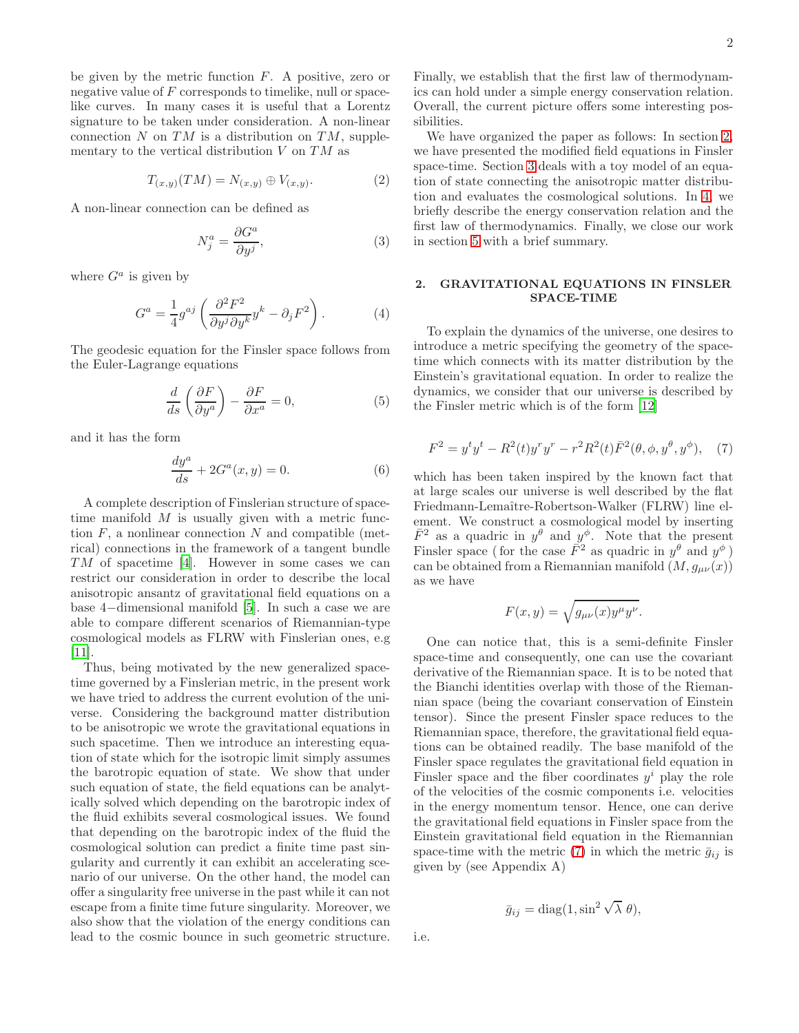be given by the metric function  $F$ . A positive, zero or negative value of  $F$  corresponds to timelike, null or spacelike curves. In many cases it is useful that a Lorentz signature to be taken under consideration. A non-linear connection  $N$  on  $TM$  is a distribution on  $TM$ , supplementary to the vertical distribution  $V$  on  $TM$  as

$$
T_{(x,y)}(TM) = N_{(x,y)} \oplus V_{(x,y)}.
$$
 (2)

A non-linear connection can be defined as

$$
N_j^a = \frac{\partial G^a}{\partial y^j},\tag{3}
$$

where  $G^a$  is given by

$$
G^{a} = \frac{1}{4}g^{aj} \left( \frac{\partial^{2} F^{2}}{\partial y^{j} \partial y^{k}} y^{k} - \partial_{j} F^{2} \right). \tag{4}
$$

The geodesic equation for the Finsler space follows from the Euler-Lagrange equations

$$
\frac{d}{ds}\left(\frac{\partial F}{\partial y^a}\right) - \frac{\partial F}{\partial x^a} = 0,\tag{5}
$$

and it has the form

$$
\frac{dy^a}{ds} + 2G^a(x, y) = 0.\tag{6}
$$

A complete description of Finslerian structure of spacetime manifold  $M$  is usually given with a metric function  $F$ , a nonlinear connection  $N$  and compatible (metrical) connections in the framework of a tangent bundle TM of spacetime [\[4](#page-7-3)]. However in some cases we can restrict our consideration in order to describe the local anisotropic ansantz of gravitational field equations on a base 4−dimensional manifold [\[5\]](#page-7-4). In such a case we are able to compare different scenarios of Riemannian-type cosmological models as FLRW with Finslerian ones, e.g [\[11\]](#page-8-2).

Thus, being motivated by the new generalized spacetime governed by a Finslerian metric, in the present work we have tried to address the current evolution of the universe. Considering the background matter distribution to be anisotropic we wrote the gravitational equations in such spacetime. Then we introduce an interesting equation of state which for the isotropic limit simply assumes the barotropic equation of state. We show that under such equation of state, the field equations can be analytically solved which depending on the barotropic index of the fluid exhibits several cosmological issues. We found that depending on the barotropic index of the fluid the cosmological solution can predict a finite time past singularity and currently it can exhibit an accelerating scenario of our universe. On the other hand, the model can offer a singularity free universe in the past while it can not escape from a finite time future singularity. Moreover, we also show that the violation of the energy conditions can lead to the cosmic bounce in such geometric structure.

Finally, we establish that the first law of thermodynamics can hold under a simple energy conservation relation. Overall, the current picture offers some interesting possibilities.

We have organized the paper as follows: In section [2,](#page-1-0) we have presented the modified field equations in Finsler space-time. Section [3](#page-2-0) deals with a toy model of an equation of state connecting the anisotropic matter distribution and evaluates the cosmological solutions. In [4,](#page-4-0) we briefly describe the energy conservation relation and the first law of thermodynamics. Finally, we close our work in section [5](#page-5-0) with a brief summary.

## <span id="page-1-0"></span>2. GRAVITATIONAL EQUATIONS IN FINSLER SPACE-TIME

To explain the dynamics of the universe, one desires to introduce a metric specifying the geometry of the spacetime which connects with its matter distribution by the Einstein's gravitational equation. In order to realize the dynamics, we consider that our universe is described by the Finsler metric which is of the form [\[12\]](#page-8-0)

<span id="page-1-1"></span>
$$
F^{2} = y^{t}y^{t} - R^{2}(t)y^{r}y^{r} - r^{2}R^{2}(t)\bar{F}^{2}(\theta, \phi, y^{\theta}, y^{\phi}), \quad (7)
$$

which has been taken inspired by the known fact that at large scales our universe is well described by the flat Friedmann-Lemaître-Robertson-Walker (FLRW) line element. We construct a cosmological model by inserting  $\bar{F}^2$  as a quadric in  $y^{\theta}$  and  $y^{\phi}$ . Note that the present Finsler space (for the case  $\vec{F}^2$  as quadric in  $y^{\theta}$  and  $y^{\phi}$ ) can be obtained from a Riemannian manifold  $(M, g_{\mu\nu}(x))$ as we have

$$
F(x,y) = \sqrt{g_{\mu\nu}(x)y^{\mu}y^{\nu}}.
$$

One can notice that, this is a semi-definite Finsler space-time and consequently, one can use the covariant derivative of the Riemannian space. It is to be noted that the Bianchi identities overlap with those of the Riemannian space (being the covariant conservation of Einstein tensor). Since the present Finsler space reduces to the Riemannian space, therefore, the gravitational field equations can be obtained readily. The base manifold of the Finsler space regulates the gravitational field equation in Finsler space and the fiber coordinates  $y^i$  play the role of the velocities of the cosmic components i.e. velocities in the energy momentum tensor. Hence, one can derive the gravitational field equations in Finsler space from the Einstein gravitational field equation in the Riemannian space-time with the metric [\(7\)](#page-1-1) in which the metric  $\bar{g}_{ij}$  is given by (see Appendix A)

$$
\bar{g}_{ij} = \text{diag}(1, \sin^2 \sqrt{\lambda} \theta),
$$

i.e.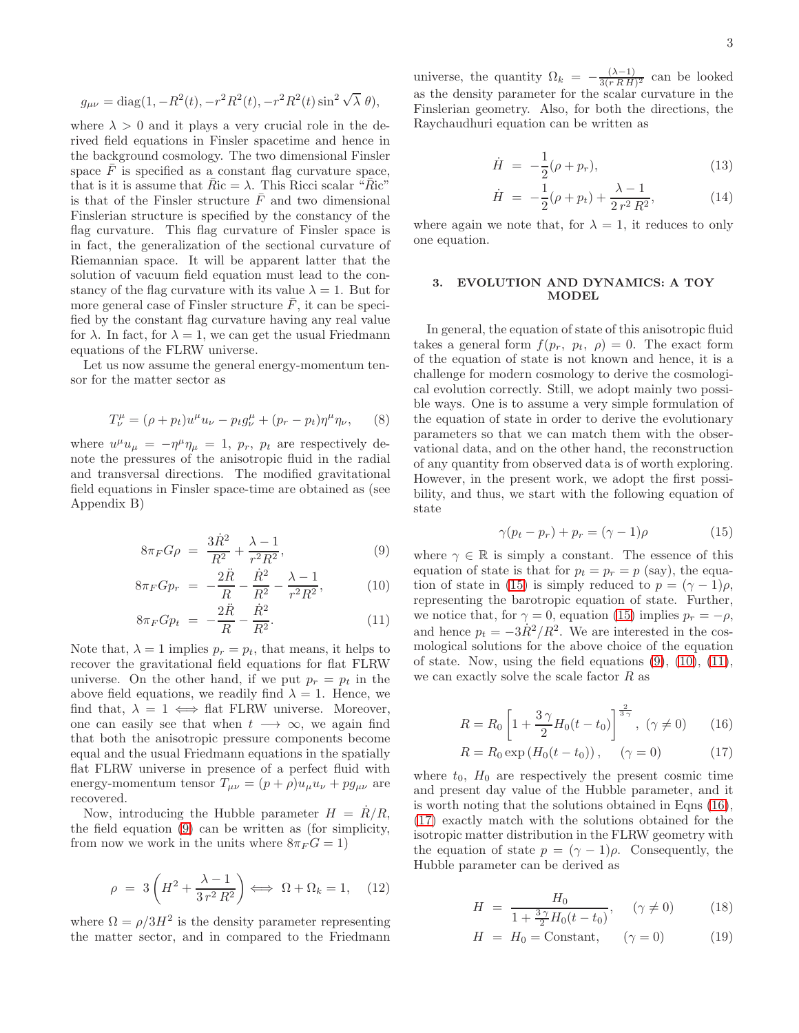$$
g_{\mu\nu} = \text{diag}(1, -R^2(t), -r^2R^2(t), -r^2R^2(t)\sin^2\sqrt{\lambda} \theta),
$$

where  $\lambda > 0$  and it plays a very crucial role in the derived field equations in Finsler spacetime and hence in the background cosmology. The two dimensional Finsler space  $\overline{F}$  is specified as a constant flag curvature space, that is it is assume that  $\bar{R}$ ic =  $\lambda$ . This Ricci scalar " $\bar{R}$ ic" is that of the Finsler structure  $\overline{F}$  and two dimensional Finslerian structure is specified by the constancy of the flag curvature. This flag curvature of Finsler space is in fact, the generalization of the sectional curvature of Riemannian space. It will be apparent latter that the solution of vacuum field equation must lead to the constancy of the flag curvature with its value  $\lambda = 1$ . But for more general case of Finsler structure  $\bar{F}$ , it can be specified by the constant flag curvature having any real value for  $\lambda$ . In fact, for  $\lambda = 1$ , we can get the usual Friedmann equations of the FLRW universe.

Let us now assume the general energy-momentum tensor for the matter sector as

$$
T^{\mu}_{\nu} = (\rho + p_t)u^{\mu}u_{\nu} - p_t g^{\mu}_{\nu} + (p_r - p_t)\eta^{\mu}\eta_{\nu}, \qquad (8)
$$

where  $u^{\mu}u_{\mu} = -\eta^{\mu}\eta_{\mu} = 1$ ,  $p_r$ ,  $p_t$  are respectively denote the pressures of the anisotropic fluid in the radial and transversal directions. The modified gravitational field equations in Finsler space-time are obtained as (see Appendix B)

<span id="page-2-1"></span>
$$
8\pi_F G \rho = \frac{3\dot{R}^2}{R^2} + \frac{\lambda - 1}{r^2 R^2},
$$
\n(9)

$$
8\pi_F G p_r = -\frac{2\ddot{R}}{R} - \frac{\dot{R}^2}{R^2} - \frac{\lambda - 1}{r^2 R^2},
$$
 (10)

$$
8\pi_F G p_t = -\frac{2\ddot{R}}{R} - \frac{\dot{R}^2}{R^2}.
$$
 (11)

Note that,  $\lambda = 1$  implies  $p_r = p_t$ , that means, it helps to recover the gravitational field equations for flat FLRW universe. On the other hand, if we put  $p_r = p_t$  in the above field equations, we readily find  $\lambda = 1$ . Hence, we find that,  $\lambda = 1 \iff$  flat FLRW universe. Moreover, one can easily see that when  $t \longrightarrow \infty$ , we again find that both the anisotropic pressure components become equal and the usual Friedmann equations in the spatially flat FLRW universe in presence of a perfect fluid with energy-momentum tensor  $T_{\mu\nu} = (p + \rho)u_{\mu}u_{\nu} + pg_{\mu\nu}$  are recovered.

Now, introducing the Hubble parameter  $H = \dot{R}/R$ , the field equation [\(9\)](#page-2-1) can be written as (for simplicity, from now we work in the units where  $8\pi_F G = 1$ )

$$
\rho = 3\left(H^2 + \frac{\lambda - 1}{3r^2 R^2}\right) \Longleftrightarrow \Omega + \Omega_k = 1, \quad (12)
$$

where  $\Omega = \rho/3H^2$  is the density parameter representing the matter sector, and in compared to the Friedmann

universe, the quantity  $\Omega_k = -\frac{(\lambda - 1)}{3(r R H)}$  $\frac{(\lambda-1)}{3(r R H)^2}$  can be looked as the density parameter for the scalar curvature in the Finslerian geometry. Also, for both the directions, the Raychaudhuri equation can be written as

$$
\dot{H} = -\frac{1}{2}(\rho + p_r),
$$
\n(13)

$$
\dot{H} = -\frac{1}{2}(\rho + p_t) + \frac{\lambda - 1}{2 r^2 R^2},
$$
\n(14)

where again we note that, for  $\lambda = 1$ , it reduces to only one equation.

## <span id="page-2-0"></span>3. EVOLUTION AND DYNAMICS: A TOY MODEL

In general, the equation of state of this anisotropic fluid takes a general form  $f(p_r, p_t, \rho) = 0$ . The exact form of the equation of state is not known and hence, it is a challenge for modern cosmology to derive the cosmological evolution correctly. Still, we adopt mainly two possible ways. One is to assume a very simple formulation of the equation of state in order to derive the evolutionary parameters so that we can match them with the observational data, and on the other hand, the reconstruction of any quantity from observed data is of worth exploring. However, in the present work, we adopt the first possibility, and thus, we start with the following equation of state

<span id="page-2-2"></span>
$$
\gamma(p_t - p_r) + p_r = (\gamma - 1)\rho \tag{15}
$$

where  $\gamma \in \mathbb{R}$  is simply a constant. The essence of this equation of state is that for  $p_t = p_r = p$  (say), the equa-tion of state in [\(15\)](#page-2-2) is simply reduced to  $p = (\gamma - 1)\rho$ , representing the barotropic equation of state. Further, we notice that, for  $\gamma = 0$ , equation [\(15\)](#page-2-2) implies  $p_r = -\rho$ , and hence  $p_t = -3R^2/R^2$ . We are interested in the cosmological solutions for the above choice of the equation of state. Now, using the field equations  $(9)$ ,  $(10)$ ,  $(11)$ , we can exactly solve the scale factor  $R$  as

<span id="page-2-4"></span><span id="page-2-3"></span>
$$
R = R_0 \left[ 1 + \frac{3\,\gamma}{2} H_0(t - t_0) \right]^{\frac{2}{3\,\gamma}}, \ (\gamma \neq 0) \tag{16}
$$

$$
R = R_0 \exp(H_0(t - t_0)), \quad (\gamma = 0)
$$
 (17)

where  $t_0$ ,  $H_0$  are respectively the present cosmic time and present day value of the Hubble parameter, and it is worth noting that the solutions obtained in Eqns [\(16\)](#page-2-3), [\(17\)](#page-2-4) exactly match with the solutions obtained for the isotropic matter distribution in the FLRW geometry with the equation of state  $p = (\gamma - 1)\rho$ . Consequently, the Hubble parameter can be derived as

<span id="page-2-5"></span>
$$
H = \frac{H_0}{1 + \frac{3\gamma}{2}H_0(t - t_0)}, \quad (\gamma \neq 0)
$$
 (18)

$$
H = H_0 = \text{Constant}, \quad (\gamma = 0) \tag{19}
$$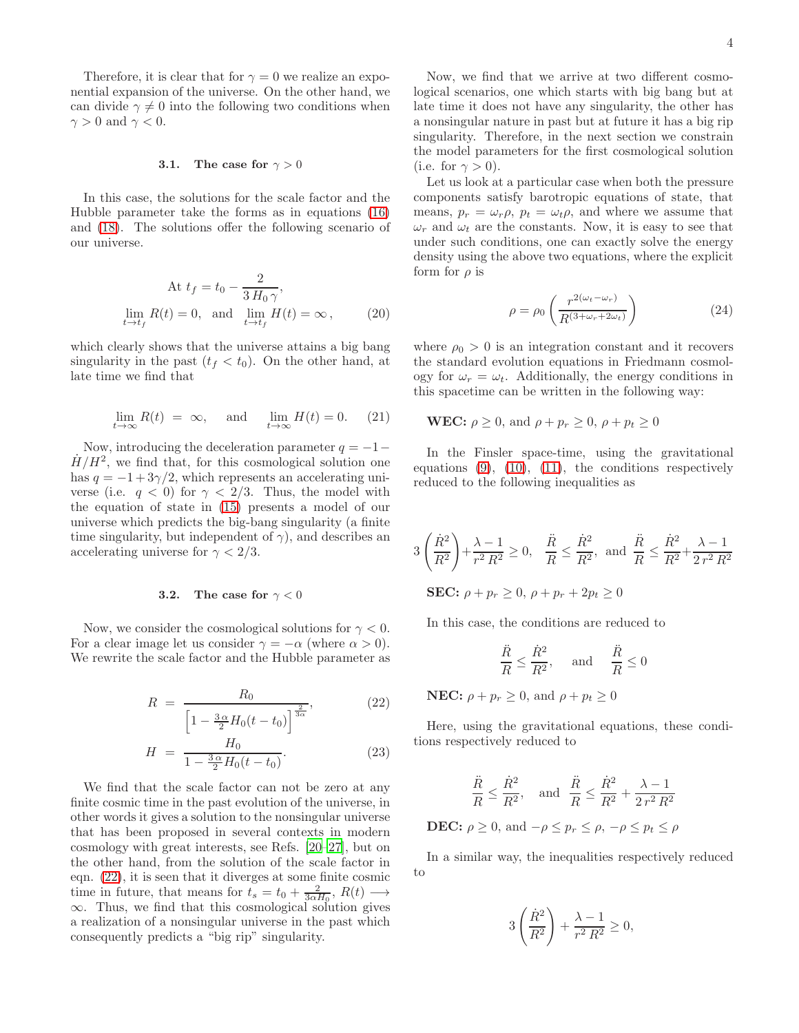Therefore, it is clear that for  $\gamma = 0$  we realize an exponential expansion of the universe. On the other hand, we can divide  $\gamma \neq 0$  into the following two conditions when  $\gamma > 0$  and  $\gamma < 0$ .

### 3.1. The case for  $\gamma > 0$

In this case, the solutions for the scale factor and the Hubble parameter take the forms as in equations [\(16\)](#page-2-3) and [\(18\)](#page-2-5). The solutions offer the following scenario of our universe.

At 
$$
t_f = t_0 - \frac{2}{3 H_0 \gamma}
$$
,  
\n
$$
\lim_{t \to t_f} R(t) = 0, \text{ and } \lim_{t \to t_f} H(t) = \infty, \qquad (20)
$$

which clearly shows that the universe attains a big bang singularity in the past  $(t_f < t_0)$ . On the other hand, at late time we find that

$$
\lim_{t \to \infty} R(t) = \infty, \quad \text{and} \quad \lim_{t \to \infty} H(t) = 0. \tag{21}
$$

Now, introducing the deceleration parameter  $q = -1$  $H/H<sup>2</sup>$ , we find that, for this cosmological solution one has  $q = -1 + 3\gamma/2$ , which represents an accelerating universe (i.e.  $q < 0$ ) for  $\gamma < 2/3$ . Thus, the model with the equation of state in [\(15\)](#page-2-2) presents a model of our universe which predicts the big-bang singularity (a finite time singularity, but independent of  $\gamma$ ), and describes an accelerating universe for  $\gamma < 2/3$ .

### **3.2.** The case for  $\gamma < 0$

Now, we consider the cosmological solutions for  $\gamma < 0$ . For a clear image let us consider  $\gamma = -\alpha$  (where  $\alpha > 0$ ). We rewrite the scale factor and the Hubble parameter as

<span id="page-3-0"></span>
$$
R = \frac{R_0}{\left[1 - \frac{3\alpha}{2}H_0(t - t_0)\right]^{\frac{2}{3\alpha}}},\tag{22}
$$

$$
H = \frac{H_0}{1 - \frac{3\,\alpha}{2}H_0(t - t_0)}.\tag{23}
$$

We find that the scale factor can not be zero at any finite cosmic time in the past evolution of the universe, in other words it gives a solution to the nonsingular universe that has been proposed in several contexts in modern cosmology with great interests, see Refs. [\[20](#page-8-3)[–27\]](#page-8-4), but on the other hand, from the solution of the scale factor in eqn. [\(22\)](#page-3-0), it is seen that it diverges at some finite cosmic time in future, that means for  $t_s = t_0 + \frac{2}{3\alpha H_0}$ ,  $R(t) \longrightarrow$ ∞. Thus, we find that this cosmological solution gives a realization of a nonsingular universe in the past which consequently predicts a "big rip" singularity.

Now, we find that we arrive at two different cosmological scenarios, one which starts with big bang but at late time it does not have any singularity, the other has a nonsingular nature in past but at future it has a big rip singularity. Therefore, in the next section we constrain the model parameters for the first cosmological solution (i.e. for  $\gamma > 0$ ).

Let us look at a particular case when both the pressure components satisfy barotropic equations of state, that means,  $p_r = \omega_r \rho$ ,  $p_t = \omega_t \rho$ , and where we assume that  $\omega_r$  and  $\omega_t$  are the constants. Now, it is easy to see that under such conditions, one can exactly solve the energy density using the above two equations, where the explicit form for  $\rho$  is

$$
\rho = \rho_0 \left( \frac{r^{2(\omega_t - \omega_r)}}{R^{(3 + \omega_r + 2\omega_t)}} \right) \tag{24}
$$

where  $\rho_0 > 0$  is an integration constant and it recovers the standard evolution equations in Friedmann cosmology for  $\omega_r = \omega_t$ . Additionally, the energy conditions in this spacetime can be written in the following way:

**WEC:** 
$$
\rho \ge 0
$$
, and  $\rho + p_r \ge 0$ ,  $\rho + p_t \ge 0$ 

In the Finsler space-time, using the gravitational equations  $(9)$ ,  $(10)$ ,  $(11)$ , the conditions respectively reduced to the following inequalities as

$$
3\left(\frac{\dot{R}^2}{R^2}\right) + \frac{\lambda - 1}{r^2 R^2} \ge 0, \quad \frac{\ddot{R}}{R} \le \frac{\dot{R}^2}{R^2}, \text{ and } \frac{\ddot{R}}{R} \le \frac{\dot{R}^2}{R^2} + \frac{\lambda - 1}{2 r^2 R^2}
$$
  
**SEC:**  $\rho + p_r \ge 0, \ \rho + p_r + 2p_t \ge 0$ 

In this case, the conditions are reduced to

$$
\frac{\ddot{R}}{R} \le \frac{\dot{R}^2}{R^2}, \quad \text{and} \quad \frac{\ddot{R}}{R} \le 0
$$

**NEC:**  $\rho + p_r \ge 0$ , and  $\rho + p_t \ge 0$ 

Here, using the gravitational equations, these conditions respectively reduced to

$$
\frac{\ddot{R}}{R} \le \frac{\dot{R}^2}{R^2}, \quad \text{and} \quad \frac{\ddot{R}}{R} \le \frac{\dot{R}^2}{R^2} + \frac{\lambda - 1}{2 r^2 R^2}
$$

**DEC:**  $\rho > 0$ , and  $-\rho \leq p_r \leq \rho$ ,  $-\rho \leq p_t \leq \rho$ 

In a similar way, the inequalities respectively reduced to

$$
3\left(\frac{\dot{R}^2}{R^2}\right) + \frac{\lambda - 1}{r^2 R^2} \ge 0,
$$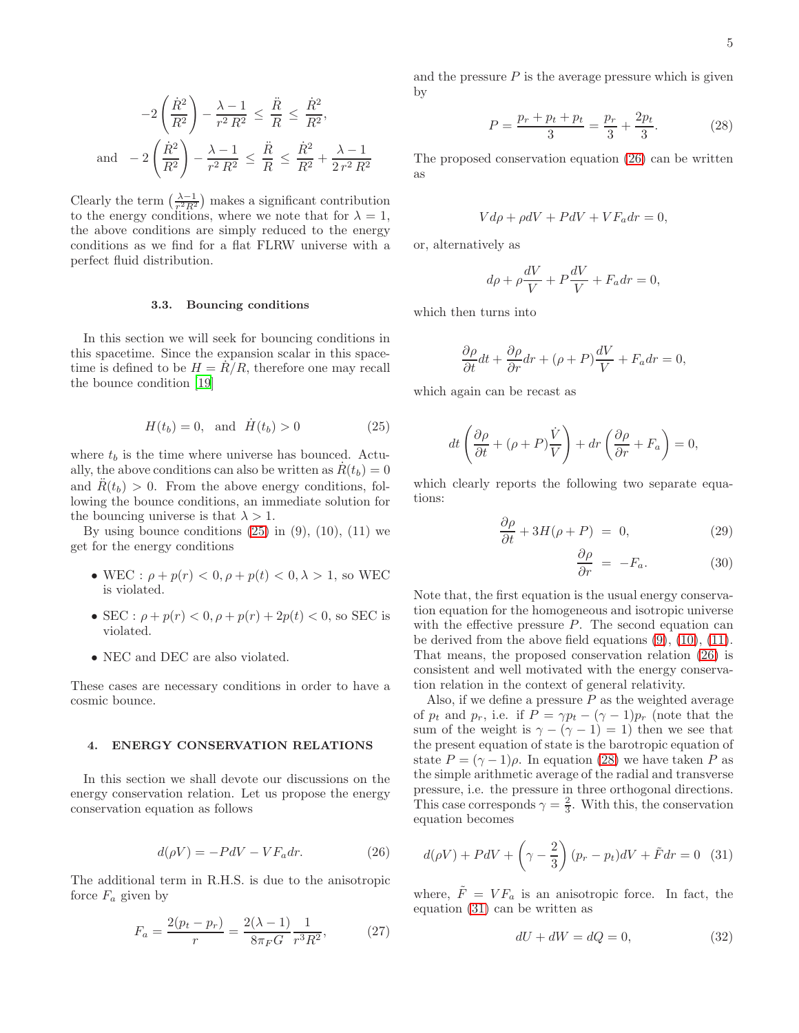$$
-2\left(\frac{\dot{R}^2}{R^2}\right) - \frac{\lambda - 1}{r^2 R^2} \le \frac{\ddot{R}}{R} \le \frac{\dot{R}^2}{R^2},
$$
  
and 
$$
-2\left(\frac{\dot{R}^2}{R^2}\right) - \frac{\lambda - 1}{r^2 R^2} \le \frac{\ddot{R}}{R} \le \frac{\dot{R}^2}{R^2} + \frac{\lambda - 1}{2r^2 R^2}
$$

Clearly the term  $\left(\frac{\lambda-1}{r^2R^2}\right)$  makes a significant contribution to the energy conditions, where we note that for  $\lambda = 1$ , the above conditions are simply reduced to the energy conditions as we find for a flat FLRW universe with a perfect fluid distribution.

#### 3.3. Bouncing conditions

In this section we will seek for bouncing conditions in this spacetime. Since the expansion scalar in this spacetime is defined to be  $H = \dot{R/R}$ , therefore one may recall the bounce condition [\[19\]](#page-8-5)

<span id="page-4-1"></span>
$$
H(t_b) = 0, \quad \text{and} \quad \dot{H}(t_b) > 0 \tag{25}
$$

where  $t_b$  is the time where universe has bounced. Actually, the above conditions can also be written as  $R(t_b) = 0$ and  $R(t_b) > 0$ . From the above energy conditions, following the bounce conditions, an immediate solution for the bouncing universe is that  $\lambda > 1$ .

By using bounce conditions  $(25)$  in  $(9)$ ,  $(10)$ ,  $(11)$  we get for the energy conditions

- WEC :  $\rho + p(r) < 0, \rho + p(t) < 0, \lambda > 1$ , so WEC is violated.
- SEC :  $\rho + p(r) < 0, \rho + p(r) + 2p(t) < 0$ , so SEC is violated.
- NEC and DEC are also violated.

These cases are necessary conditions in order to have a cosmic bounce.

## <span id="page-4-0"></span>4. ENERGY CONSERVATION RELATIONS

In this section we shall devote our discussions on the energy conservation relation. Let us propose the energy conservation equation as follows

<span id="page-4-2"></span>
$$
d(\rho V) = -PdV - VF_a dr.
$$
 (26)

The additional term in R.H.S. is due to the anisotropic force  $F_a$  given by

$$
F_a = \frac{2(p_t - p_r)}{r} = \frac{2(\lambda - 1)}{8\pi_F G} \frac{1}{r^3 R^2},\tag{27}
$$

and the pressure  $P$  is the average pressure which is given by

<span id="page-4-3"></span>
$$
P = \frac{p_r + p_t + p_t}{3} = \frac{p_r}{3} + \frac{2p_t}{3}.
$$
 (28)

The proposed conservation equation [\(26\)](#page-4-2) can be written as

$$
Vd\rho + \rho dV + PdV + VF_a dr = 0,
$$

or, alternatively as

$$
d\rho + \rho \frac{dV}{V} + P\frac{dV}{V} + F_a dr = 0,
$$

which then turns into

$$
\frac{\partial \rho}{\partial t}dt + \frac{\partial \rho}{\partial r}dr + (\rho + P)\frac{dV}{V} + F_a dr = 0,
$$

which again can be recast as

$$
dt\left(\frac{\partial\rho}{\partial t} + (\rho + P)\frac{\dot{V}}{V}\right) + dr\left(\frac{\partial\rho}{\partial r} + F_a\right) = 0,
$$

which clearly reports the following two separate equations:

$$
\frac{\partial \rho}{\partial t} + 3H(\rho + P) = 0, \tag{29}
$$

$$
\frac{\partial \rho}{\partial r} = -F_a. \tag{30}
$$

Note that, the first equation is the usual energy conservation equation for the homogeneous and isotropic universe with the effective pressure  $P$ . The second equation can be derived from the above field equations [\(9\)](#page-2-1), [\(10\)](#page-2-1), [\(11\)](#page-2-1). That means, the proposed conservation relation [\(26\)](#page-4-2) is consistent and well motivated with the energy conservation relation in the context of general relativity.

Also, if we define a pressure  $P$  as the weighted average of  $p_t$  and  $p_r$ , i.e. if  $P = \gamma p_t - (\gamma - 1)p_r$  (note that the sum of the weight is  $\gamma - (\gamma - 1) = 1$ ) then we see that the present equation of state is the barotropic equation of state  $P = (\gamma - 1)\rho$ . In equation [\(28\)](#page-4-3) we have taken P as the simple arithmetic average of the radial and transverse pressure, i.e. the pressure in three orthogonal directions. This case corresponds  $\gamma = \frac{2}{3}$ . With this, the conservation equation becomes

<span id="page-4-4"></span>
$$
d(\rho V) + PdV + \left(\gamma - \frac{2}{3}\right)(p_r - p_t)dV + \tilde{F}dr = 0
$$
 (31)

where,  $\tilde{F} = V F_a$  is an anisotropic force. In fact, the equation [\(31\)](#page-4-4) can be written as

$$
dU + dW = dQ = 0,\t(32)
$$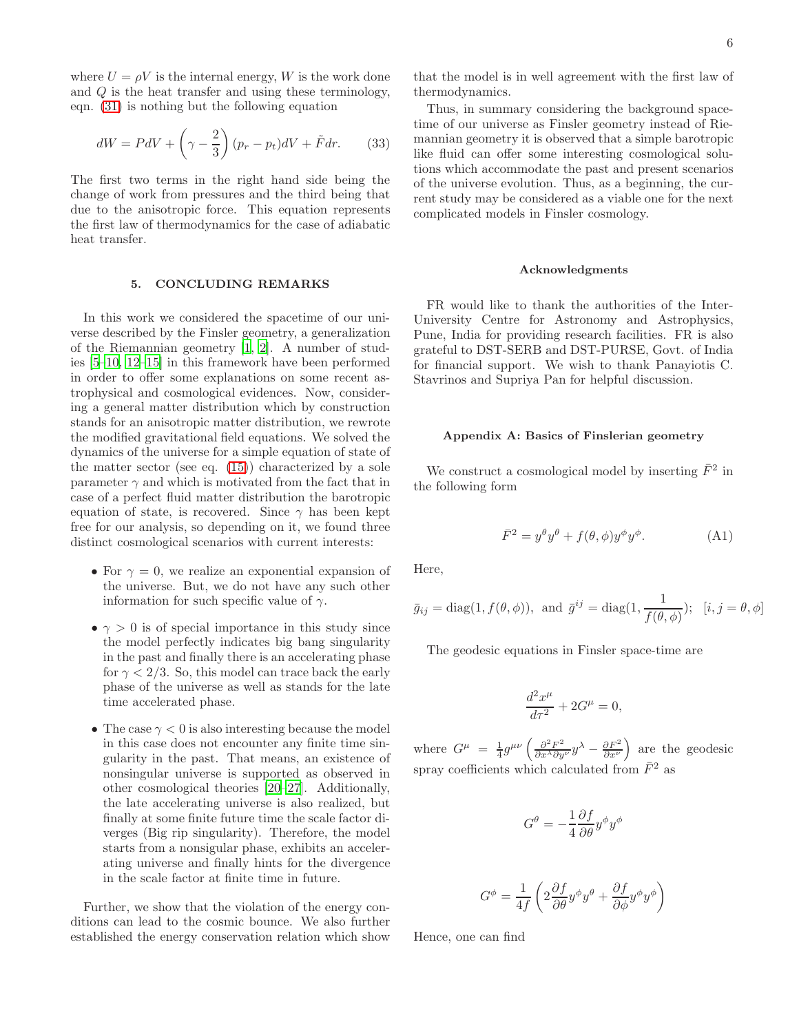where  $U = \rho V$  is the internal energy, W is the work done and Q is the heat transfer and using these terminology, eqn. [\(31\)](#page-4-4) is nothing but the following equation

$$
dW = PdV + \left(\gamma - \frac{2}{3}\right)(p_r - p_t)dV + \tilde{F}dr.
$$
 (33)

The first two terms in the right hand side being the change of work from pressures and the third being that due to the anisotropic force. This equation represents the first law of thermodynamics for the case of adiabatic heat transfer.

### <span id="page-5-0"></span>5. CONCLUDING REMARKS

In this work we considered the spacetime of our universe described by the Finsler geometry, a generalization of the Riemannian geometry [\[1](#page-7-0), [2\]](#page-7-1). A number of studies [\[5](#page-7-4)[–10](#page-7-5), [12](#page-8-0)[–15](#page-8-1)] in this framework have been performed in order to offer some explanations on some recent astrophysical and cosmological evidences. Now, considering a general matter distribution which by construction stands for an anisotropic matter distribution, we rewrote the modified gravitational field equations. We solved the dynamics of the universe for a simple equation of state of the matter sector (see eq. [\(15\)](#page-2-2)) characterized by a sole parameter  $\gamma$  and which is motivated from the fact that in case of a perfect fluid matter distribution the barotropic equation of state, is recovered. Since  $\gamma$  has been kept free for our analysis, so depending on it, we found three distinct cosmological scenarios with current interests:

- For  $\gamma = 0$ , we realize an exponential expansion of the universe. But, we do not have any such other information for such specific value of  $\gamma$ .
- $\gamma > 0$  is of special importance in this study since the model perfectly indicates big bang singularity in the past and finally there is an accelerating phase for  $\gamma < 2/3$ . So, this model can trace back the early phase of the universe as well as stands for the late time accelerated phase.
- The case  $\gamma < 0$  is also interesting because the model in this case does not encounter any finite time singularity in the past. That means, an existence of nonsingular universe is supported as observed in other cosmological theories [\[20](#page-8-3)[–27](#page-8-4)]. Additionally, the late accelerating universe is also realized, but finally at some finite future time the scale factor diverges (Big rip singularity). Therefore, the model starts from a nonsigular phase, exhibits an accelerating universe and finally hints for the divergence in the scale factor at finite time in future.

Further, we show that the violation of the energy conditions can lead to the cosmic bounce. We also further established the energy conservation relation which show

that the model is in well agreement with the first law of thermodynamics.

Thus, in summary considering the background spacetime of our universe as Finsler geometry instead of Riemannian geometry it is observed that a simple barotropic like fluid can offer some interesting cosmological solutions which accommodate the past and present scenarios of the universe evolution. Thus, as a beginning, the current study may be considered as a viable one for the next complicated models in Finsler cosmology.

## Acknowledgments

FR would like to thank the authorities of the Inter-University Centre for Astronomy and Astrophysics, Pune, India for providing research facilities. FR is also grateful to DST-SERB and DST-PURSE, Govt. of India for financial support. We wish to thank Panayiotis C. Stavrinos and Supriya Pan for helpful discussion.

## Appendix A: Basics of Finslerian geometry

We construct a cosmological model by inserting  $\bar{F}^2$  in the following form

$$
\bar{F}^2 = y^{\theta}y^{\theta} + f(\theta, \phi)y^{\phi}y^{\phi}.
$$
 (A1)

Here,

$$
\bar{g}_{ij} = \text{diag}(1, f(\theta, \phi)), \text{ and } \bar{g}^{ij} = \text{diag}(1, \frac{1}{f(\theta, \phi)}); \quad [i, j = \theta, \phi]
$$

The geodesic equations in Finsler space-time are

$$
\frac{d^2x^{\mu}}{d\tau^2} + 2G^{\mu} = 0,
$$

where  $G^{\mu} = \frac{1}{4}g^{\mu\nu}\left(\frac{\partial^2 F^2}{\partial x^{\lambda} \partial y^{\nu}}y^{\lambda} - \frac{\partial F^2}{\partial x^{\nu}}\right)$  are the geodesic spray coefficients which calculated from  $\bar{F}^2$  as

$$
G^{\theta} = -\frac{1}{4} \frac{\partial f}{\partial \theta} y^{\phi} y^{\phi}
$$

$$
G^{\phi} = \frac{1}{4f} \left( 2 \frac{\partial f}{\partial \theta} y^{\phi} y^{\theta} + \frac{\partial f}{\partial \phi} y^{\phi} y^{\phi} \right)
$$

Hence, one can find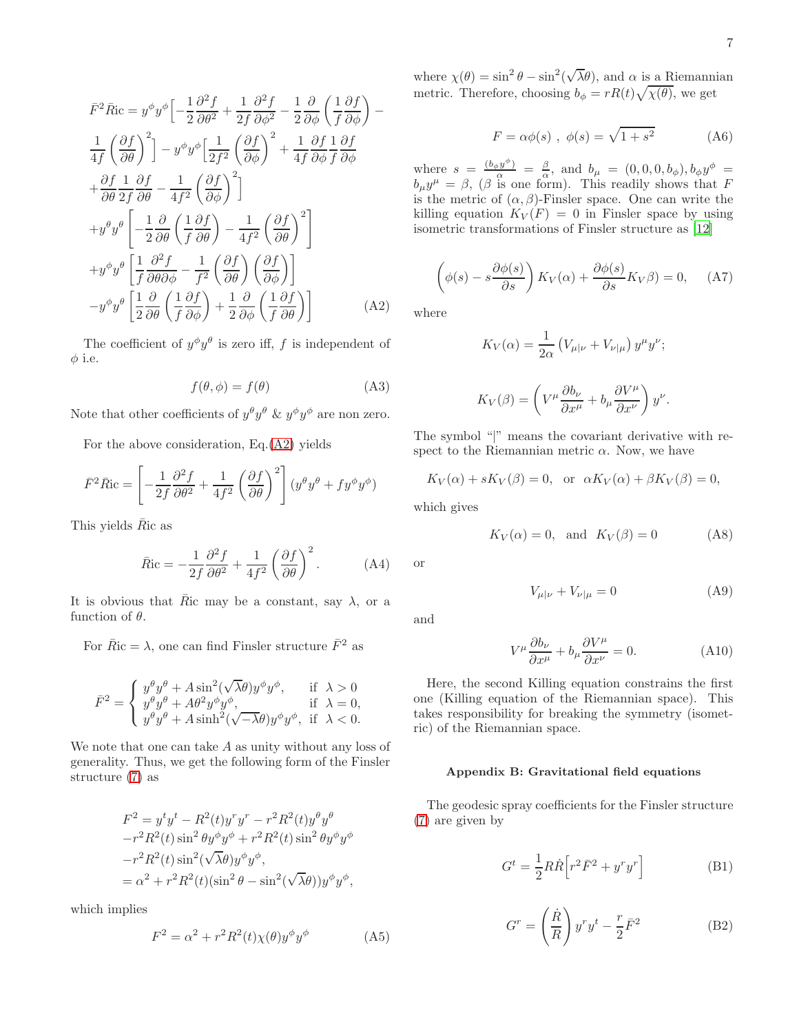<span id="page-6-0"></span>
$$
\bar{F}^2 \bar{R}ic = y^{\phi} y^{\phi} \left[ -\frac{1}{2} \frac{\partial^2 f}{\partial \theta^2} + \frac{1}{2f} \frac{\partial^2 f}{\partial \phi^2} - \frac{1}{2} \frac{\partial}{\partial \phi} \left( \frac{1}{f} \frac{\partial f}{\partial \phi} \right) - \frac{1}{4f} \left( \frac{\partial f}{\partial \theta} \right)^2 \right] - y^{\phi} y^{\phi} \left[ \frac{1}{2f^2} \left( \frac{\partial f}{\partial \phi} \right)^2 + \frac{1}{4f} \frac{\partial f}{\partial \phi} \frac{1}{f} \frac{\partial f}{\partial \phi} + \frac{\partial f}{\partial \theta} \frac{1}{2f} \frac{\partial f}{\partial \theta} - \frac{1}{4f^2} \left( \frac{\partial f}{\partial \phi} \right)^2 \right] + y^{\theta} y^{\theta} \left[ -\frac{1}{2} \frac{\partial}{\partial \theta} \left( \frac{1}{f} \frac{\partial f}{\partial \theta} \right) - \frac{1}{4f^2} \left( \frac{\partial f}{\partial \theta} \right)^2 \right] + y^{\phi} y^{\theta} \left[ \frac{1}{f} \frac{\partial^2 f}{\partial \theta \partial \phi} - \frac{1}{f^2} \left( \frac{\partial f}{\partial \theta} \right) \left( \frac{\partial f}{\partial \phi} \right) \right] - y^{\phi} y^{\theta} \left[ \frac{1}{2} \frac{\partial}{\partial \theta} \left( \frac{1}{f} \frac{\partial f}{\partial \phi} \right) + \frac{1}{2} \frac{\partial}{\partial \phi} \left( \frac{1}{f} \frac{\partial f}{\partial \theta} \right) \right] \tag{A2}
$$

The coefficient of  $y^{\phi}y^{\theta}$  is zero iff, f is independent of  $\phi$  i.e.

$$
f(\theta, \phi) = f(\theta) \tag{A3}
$$

Note that other coefficients of  $y^{\theta}y^{\theta}$  &  $y^{\phi}y^{\phi}$  are non zero.

For the above consideration, Eq.[\(A2\)](#page-6-0) yields

$$
\bar{F}^2 \bar{R}ic = \left[ -\frac{1}{2f} \frac{\partial^2 f}{\partial \theta^2} + \frac{1}{4f^2} \left( \frac{\partial f}{\partial \theta} \right)^2 \right] (y^{\theta} y^{\theta} + f y^{\phi} y^{\phi})
$$

This yields  $\overline{R}$ ic as

$$
\bar{R}_{\rm IC} = -\frac{1}{2f} \frac{\partial^2 f}{\partial \theta^2} + \frac{1}{4f^2} \left(\frac{\partial f}{\partial \theta}\right)^2. \tag{A4}
$$

It is obvious that  $\overline{R}$ ic may be a constant, say  $\lambda$ , or a function of  $\theta$ .

For  $\overline{R}$ ic =  $\lambda$ , one can find Finsler structure  $\overline{F}^2$  as

$$
\bar{F}^2 = \begin{cases} y^{\theta}y^{\theta} + A\sin^2(\sqrt{\lambda}\theta)y^{\phi}y^{\phi}, & \text{if } \lambda > 0\\ y^{\theta}y^{\theta} + A\theta^2y^{\phi}y^{\phi}, & \text{if } \lambda = 0,\\ y^{\theta}y^{\theta} + A\sinh^2(\sqrt{-\lambda}\theta)y^{\phi}y^{\phi}, & \text{if } \lambda < 0. \end{cases}
$$

We note that one can take A as unity without any loss of generality. Thus, we get the following form of the Finsler structure [\(7\)](#page-1-1) as

$$
F^2 = y^t y^t - R^2(t) y^r y^r - r^2 R^2(t) y^\theta y^\theta
$$
  

$$
-r^2 R^2(t) \sin^2 \theta y^\phi y^\phi + r^2 R^2(t) \sin^2 \theta y^\phi y^\phi
$$
  

$$
-r^2 R^2(t) \sin^2(\sqrt{\lambda \theta}) y^\phi y^\phi,
$$
  

$$
= \alpha^2 + r^2 R^2(t) (\sin^2 \theta - \sin^2(\sqrt{\lambda \theta})) y^\phi y^\phi,
$$

which implies

$$
F^2 = \alpha^2 + r^2 R^2(t) \chi(\theta) y^{\phi} y^{\phi}
$$
 (A5)

where  $\chi(\theta) = \sin^2 \theta - \sin^2(\sqrt{\lambda}\theta)$ , and  $\alpha$  is a Riemannian metric. Therefore, choosing  $b_{\phi} = rR(t)\sqrt{\chi(\theta)}$ , we get

$$
F = \alpha \phi(s) , \ \phi(s) = \sqrt{1 + s^2}
$$
 (A6)

where  $s = \frac{(b_\phi y^\phi)}{\alpha} = \frac{\beta}{\alpha}$ , and  $b_\mu = (0, 0, 0, b_\phi), b_\phi y^\phi =$  $b_{\mu}y^{\mu} = \beta$ , ( $\beta$  is one form). This readily shows that F is the metric of  $(\alpha, \beta)$ -Finsler space. One can write the killing equation  $K_V(F) = 0$  in Finsler space by using isometric transformations of Finsler structure as [\[12\]](#page-8-0)

$$
\left(\phi(s) - s \frac{\partial \phi(s)}{\partial s}\right) K_V(\alpha) + \frac{\partial \phi(s)}{\partial s} K_V \beta = 0, \quad (A7)
$$

where

$$
K_V(\alpha) = \frac{1}{2\alpha} \left( V_{\mu|\nu} + V_{\nu|\mu} \right) y^{\mu} y^{\nu};
$$
  

$$
K_V(\beta) = \left( V^{\mu} \frac{\partial b_{\nu}}{\partial x^{\mu}} + b_{\mu} \frac{\partial V^{\mu}}{\partial x^{\nu}} \right) y^{\nu}.
$$

The symbol "|" means the covariant derivative with respect to the Riemannian metric  $\alpha$ . Now, we have

 $K_V(\alpha) + sK_V(\beta) = 0$ , or  $\alpha K_V(\alpha) + \beta K_V(\beta) = 0$ ,

which gives

$$
K_V(\alpha) = 0, \text{ and } K_V(\beta) = 0
$$
 (A8)

or

$$
V_{\mu|\nu} + V_{\nu|\mu} = 0 \tag{A9}
$$

and

$$
V^{\mu} \frac{\partial b_{\nu}}{\partial x^{\mu}} + b_{\mu} \frac{\partial V^{\mu}}{\partial x^{\nu}} = 0.
$$
 (A10)

Here, the second Killing equation constrains the first one (Killing equation of the Riemannian space). This takes responsibility for breaking the symmetry (isometric) of the Riemannian space.

## Appendix B: Gravitational field equations

The geodesic spray coefficients for the Finsler structure [\(7\)](#page-1-1) are given by

$$
G^t = \frac{1}{2} R \dot{R} \left[ r^2 \bar{F}^2 + y^r y^r \right]
$$
 (B1)

<span id="page-6-1"></span>
$$
G^{r} = \left(\frac{\dot{R}}{R}\right)y^{r}y^{t} - \frac{r}{2}\bar{F}^{2}
$$
 (B2)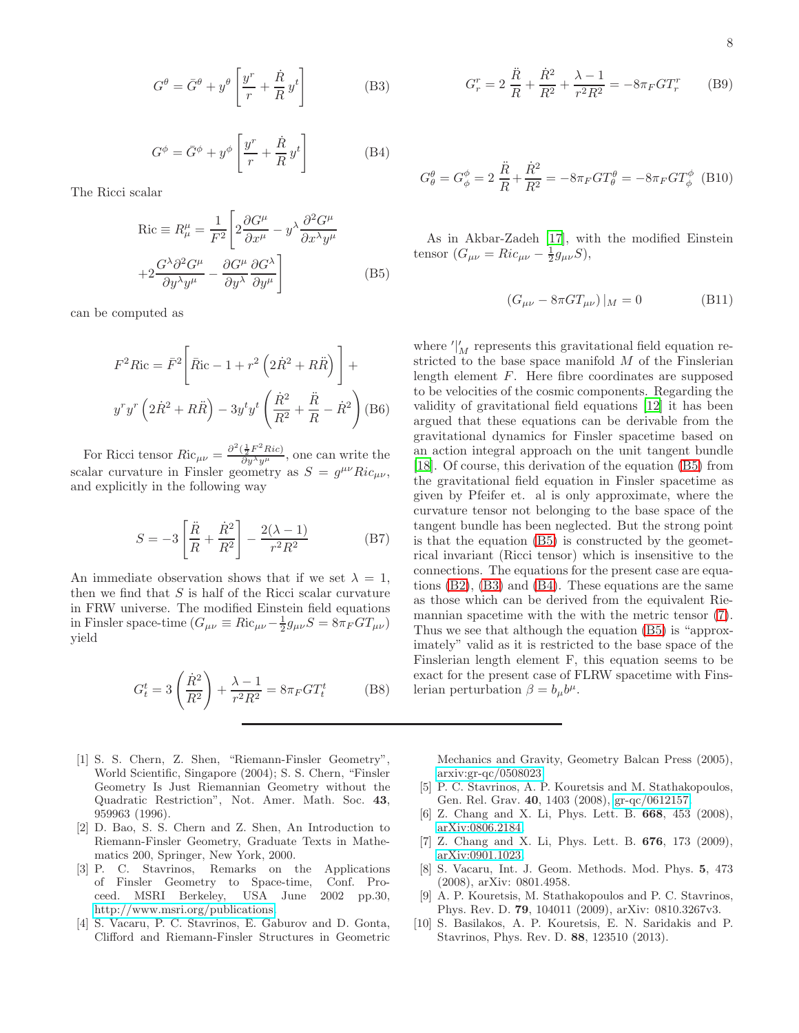<span id="page-7-9"></span>
$$
G^{\theta} = \bar{G}^{\theta} + y^{\theta} \left[ \frac{y^r}{r} + \frac{\dot{R}}{R} y^t \right]
$$
 (B3)

<span id="page-7-10"></span>
$$
G^{\phi} = \bar{G}^{\phi} + y^{\phi} \left[ \frac{y^r}{r} + \frac{\dot{R}}{R} y^t \right]
$$
 (B4)

The Ricci scalar

<span id="page-7-8"></span>
$$
Ric \equiv R^{\mu}_{\mu} = \frac{1}{F^2} \left[ 2 \frac{\partial G^{\mu}}{\partial x^{\mu}} - y^{\lambda} \frac{\partial^2 G^{\mu}}{\partial x^{\lambda} y^{\mu}} + 2 \frac{G^{\lambda} \partial^2 G^{\mu}}{\partial y^{\lambda} y^{\mu}} - \frac{\partial G^{\mu}}{\partial y^{\lambda}} \frac{\partial G^{\lambda}}{\partial y^{\mu}} \right]
$$
(B5)

can be computed as

$$
F^{2}Ric = \bar{F}^{2} \left[ \bar{R}ic - 1 + r^{2} \left( 2\dot{R}^{2} + R\ddot{R} \right) \right] +
$$
  

$$
y^{r}y^{r} \left( 2\dot{R}^{2} + R\ddot{R} \right) - 3y^{t}y^{t} \left( \frac{\dot{R}^{2}}{R^{2}} + \frac{\ddot{R}}{R} - \dot{R}^{2} \right) \text{(B6)}
$$

For Ricci tensor  $Ric_{\mu\nu} = \frac{\partial^2(\frac{1}{2}F^2Ric)}{\partial y^{\lambda}y^{\mu}}$ , one can write the scalar curvature in Finsler geometry as  $S = g^{\mu\nu} Ric_{\mu\nu}$ , and explicitly in the following way

$$
S = -3\left[\frac{\ddot{R}}{R} + \frac{\dot{R}^2}{R^2}\right] - \frac{2(\lambda - 1)}{r^2 R^2}
$$
 (B7)

An immediate observation shows that if we set  $\lambda = 1$ , then we find that  $S$  is half of the Ricci scalar curvature in FRW universe. The modified Einstein field equations in Finsler space-time  $(G_{\mu\nu} \equiv Ric_{\mu\nu} - \frac{1}{2}g_{\mu\nu}S = 8\pi_F G T_{\mu\nu})$ yield

$$
G_t^t = 3\left(\frac{\dot{R}^2}{R^2}\right) + \frac{\lambda - 1}{r^2 R^2} = 8\pi_F G T_t^t \tag{B8}
$$

- <span id="page-7-0"></span>[1] S. S. Chern, Z. Shen, "Riemann-Finsler Geometry", World Scientific, Singapore (2004); S. S. Chern, "Finsler Geometry Is Just Riemannian Geometry without the Quadratic Restriction", Not. Amer. Math. Soc. 43, 959963 (1996).
- <span id="page-7-1"></span>[2] D. Bao, S. S. Chern and Z. Shen, An Introduction to Riemann-Finsler Geometry, Graduate Texts in Mathematics 200, Springer, New York, 2000.
- <span id="page-7-2"></span>[3] P. C. Stavrinos, Remarks on the Applications of Finsler Geometry to Space-time, Conf. Proceed. MSRI Berkeley, USA June 2002 pp.30, [http://www.msri.org/publications.](http://www.msri.org/publications)
- <span id="page-7-3"></span>[4] S. Vacaru, P. C. Stavrinos, E. Gaburov and D. Gonta, Clifford and Riemann-Finsler Structures in Geometric

$$
G_r^r = 2\frac{\ddot{R}}{R} + \frac{\dot{R}^2}{R^2} + \frac{\lambda - 1}{r^2 R^2} = -8\pi_F G T_r^r
$$
 (B9)

$$
G^{\theta}_{\theta} = G^{\phi}_{\phi} = 2 \frac{\ddot{R}}{R} + \frac{\dot{R}^{2}}{R^{2}} = -8\pi_{F}GT^{\theta}_{\theta} = -8\pi_{F}GT^{\phi}_{\phi}
$$
 (B10)

As in Akbar-Zadeh [\[17\]](#page-8-6), with the modified Einstein tensor  $(G_{\mu\nu} = Ric_{\mu\nu} - \frac{1}{2}g_{\mu\nu}S),$ 

$$
(G_{\mu\nu} - 8\pi GT_{\mu\nu})|_M = 0
$$
 (B11)

where  $\frac{1}{M}$  represents this gravitational field equation restricted to the base space manifold M of the Finslerian length element F. Here fibre coordinates are supposed to be velocities of the cosmic components. Regarding the validity of gravitational field equations [\[12\]](#page-8-0) it has been argued that these equations can be derivable from the gravitational dynamics for Finsler spacetime based on an action integral approach on the unit tangent bundle [\[18\]](#page-8-7). Of course, this derivation of the equation [\(B5\)](#page-7-8) from the gravitational field equation in Finsler spacetime as given by Pfeifer et. al is only approximate, where the curvature tensor not belonging to the base space of the tangent bundle has been neglected. But the strong point is that the equation [\(B5\)](#page-7-8) is constructed by the geometrical invariant (Ricci tensor) which is insensitive to the connections. The equations for the present case are equations [\(B2\)](#page-6-1), [\(B3\)](#page-7-9) and [\(B4\)](#page-7-10). These equations are the same as those which can be derived from the equivalent Riemannian spacetime with the with the metric tensor [\(7\)](#page-1-1). Thus we see that although the equation [\(B5\)](#page-7-8) is "approximately" valid as it is restricted to the base space of the Finslerian length element F, this equation seems to be exact for the present case of FLRW spacetime with Finslerian perturbation  $\beta = b_{\mu}b^{\mu}$ .

Mechanics and Gravity, Geometry Balcan Press (2005), [arxiv:gr-qc/0508023.](http://arxiv.org/abs/gr-qc/0508023)

- <span id="page-7-4"></span>[5] P. C. Stavrinos, A. P. Kouretsis and M. Stathakopoulos, Gen. Rel. Grav. 40, 1403 (2008), [gr-qc/0612157.](http://arxiv.org/abs/gr-qc/0612157)
- <span id="page-7-6"></span>[6] Z. Chang and X. Li, Phys. Lett. B. 668, 453 (2008), [arXiv:0806.2184.](http://arxiv.org/abs/0806.2184)
- <span id="page-7-7"></span>[7] Z. Chang and X. Li, Phys. Lett. B. 676, 173 (2009), [arXiv:0901.1023.](http://arxiv.org/abs/0901.1023)
- [8] S. Vacaru, Int. J. Geom. Methods. Mod. Phys. 5, 473 (2008), arXiv: 0801.4958.
- [9] A. P. Kouretsis, M. Stathakopoulos and P. C. Stavrinos, Phys. Rev. D. 79, 104011 (2009), arXiv: 0810.3267v3.
- <span id="page-7-5"></span>[10] S. Basilakos, A. P. Kouretsis, E. N. Saridakis and P. Stavrinos, Phys. Rev. D. 88, 123510 (2013).